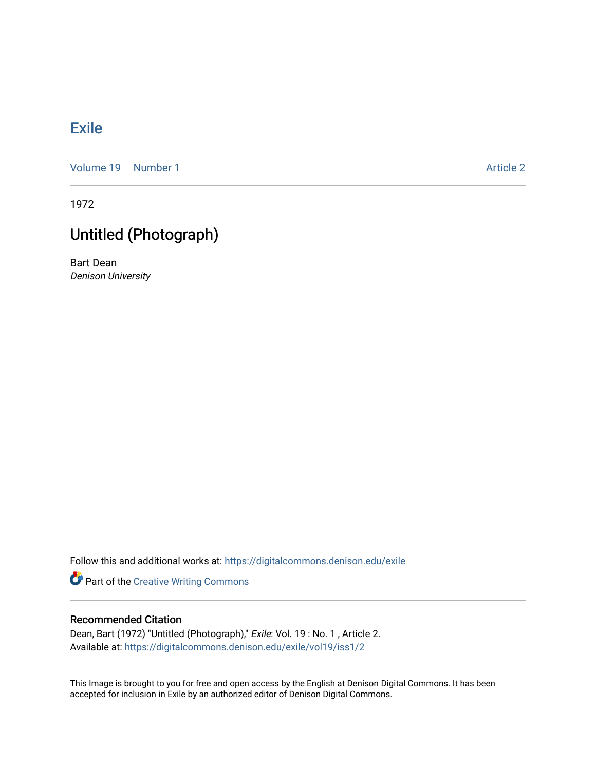## [Exile](https://digitalcommons.denison.edu/exile)

[Volume 19](https://digitalcommons.denison.edu/exile/vol19) [Number 1](https://digitalcommons.denison.edu/exile/vol19/iss1) Article 2

1972

## Untitled (Photograph)

Bart Dean Denison University

Follow this and additional works at: [https://digitalcommons.denison.edu/exile](https://digitalcommons.denison.edu/exile?utm_source=digitalcommons.denison.edu%2Fexile%2Fvol19%2Fiss1%2F2&utm_medium=PDF&utm_campaign=PDFCoverPages) 

Part of the [Creative Writing Commons](http://network.bepress.com/hgg/discipline/574?utm_source=digitalcommons.denison.edu%2Fexile%2Fvol19%2Fiss1%2F2&utm_medium=PDF&utm_campaign=PDFCoverPages) 

## Recommended Citation

Dean, Bart (1972) "Untitled (Photograph)," Exile: Vol. 19 : No. 1, Article 2. Available at: [https://digitalcommons.denison.edu/exile/vol19/iss1/2](https://digitalcommons.denison.edu/exile/vol19/iss1/2?utm_source=digitalcommons.denison.edu%2Fexile%2Fvol19%2Fiss1%2F2&utm_medium=PDF&utm_campaign=PDFCoverPages) 

This Image is brought to you for free and open access by the English at Denison Digital Commons. It has been accepted for inclusion in Exile by an authorized editor of Denison Digital Commons.